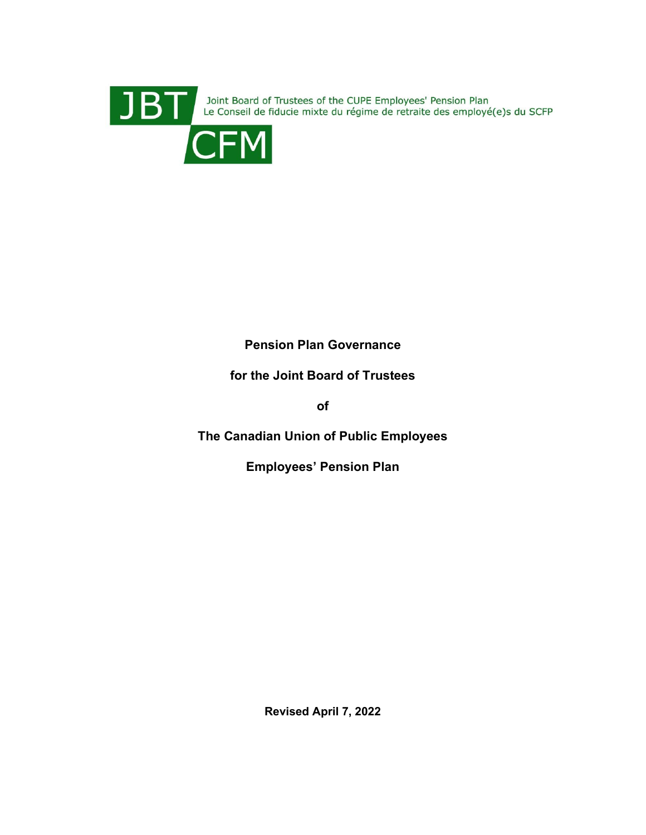

JBT Le Conseil de fiducie mixte du régime de retraite des employé(e)s du SCFP<br>CFM



# **Pension Plan Governance**

# **for the Joint Board of Trustees**

**of**

**The Canadian Union of Public Employees**

**Employees' Pension Plan**

**Revised April 7, 2022**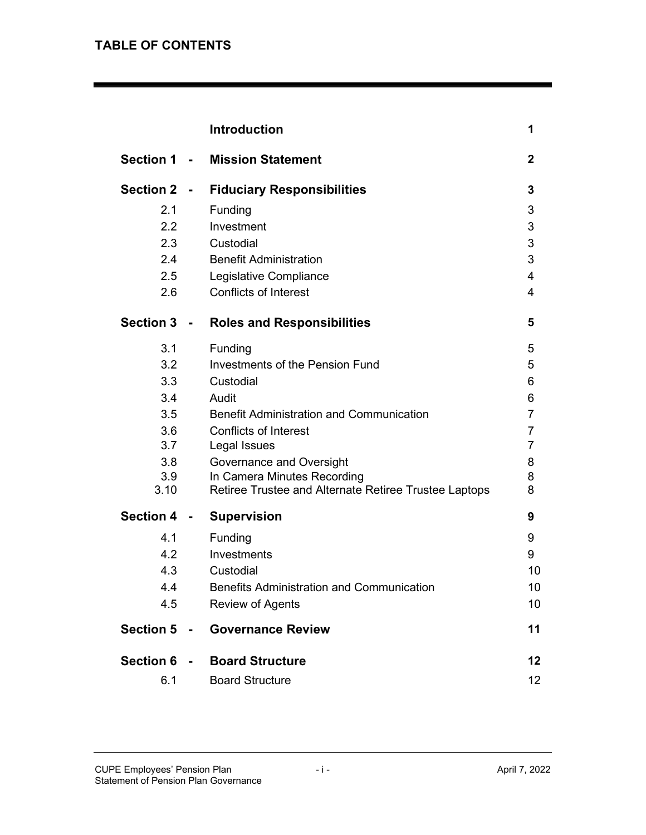# **TABLE OF CONTENTS**

|                  |                | <b>Introduction</b>                                   | 1              |
|------------------|----------------|-------------------------------------------------------|----------------|
| <b>Section 1</b> | $\sim$         | <b>Mission Statement</b>                              | $\mathbf{2}$   |
| <b>Section 2</b> |                | <b>Fiduciary Responsibilities</b>                     | 3              |
| 2.1              |                | Funding                                               | 3              |
| 2.2              |                | Investment                                            | 3              |
| 2.3              |                | Custodial                                             | 3              |
| 2.4              |                | <b>Benefit Administration</b>                         | 3              |
| 2.5              |                | Legislative Compliance                                | 4              |
| 2.6              |                | <b>Conflicts of Interest</b>                          | 4              |
| <b>Section 3</b> | $\blacksquare$ | <b>Roles and Responsibilities</b>                     | 5              |
| 3.1              |                | Funding                                               | 5              |
| 3.2              |                | <b>Investments of the Pension Fund</b>                | 5              |
| 3.3              |                | Custodial                                             | 6              |
| 3.4              |                | Audit                                                 | 6              |
| 3.5              |                | <b>Benefit Administration and Communication</b>       | $\overline{7}$ |
| 3.6              |                | <b>Conflicts of Interest</b>                          | 7              |
| 3.7              |                | Legal Issues                                          | 7              |
| 3.8              |                | Governance and Oversight                              | 8              |
| 3.9              |                | In Camera Minutes Recording                           | 8              |
| 3.10             |                | Retiree Trustee and Alternate Retiree Trustee Laptops | 8              |
| <b>Section 4</b> |                | <b>Supervision</b>                                    | 9              |
| 4.1              |                | Funding                                               | 9              |
| 4.2              |                | Investments                                           | 9              |
| 4.3              |                | Custodial                                             | 10             |
| 4.4              |                | <b>Benefits Administration and Communication</b>      | 10             |
| 4.5              |                | <b>Review of Agents</b>                               | 10             |
| <b>Section 5</b> | $\frac{1}{2}$  | <b>Governance Review</b>                              | 11             |
| <b>Section 6</b> | $\sim$         | <b>Board Structure</b>                                | 12             |
| 6.1              |                | <b>Board Structure</b>                                | 12             |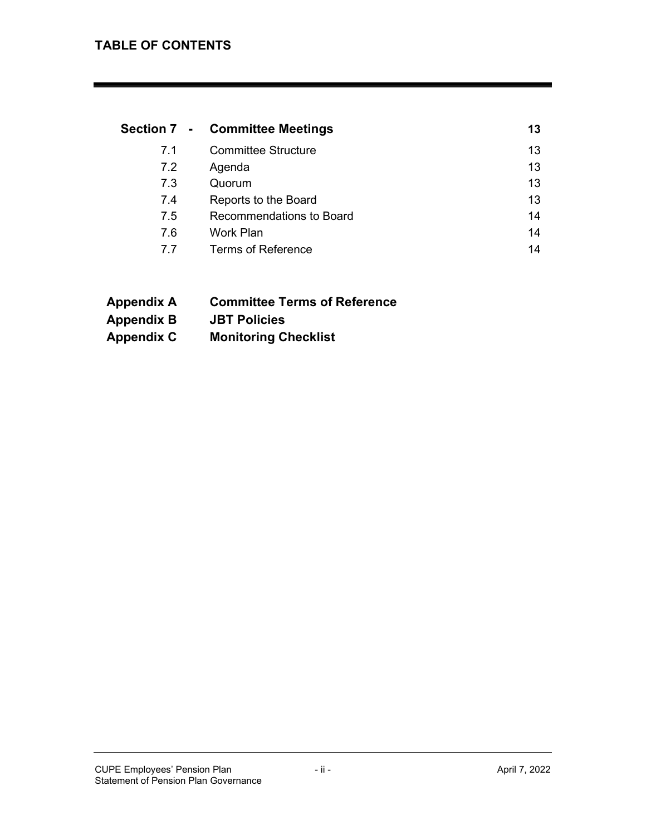|     | Section 7 - Committee Meetings | 13 |
|-----|--------------------------------|----|
| 7.1 | <b>Committee Structure</b>     | 13 |
| 7.2 | Agenda                         | 13 |
| 7.3 | Quorum                         | 13 |
| 7.4 | Reports to the Board           | 13 |
| 7.5 | Recommendations to Board       | 14 |
| 7.6 | Work Plan                      | 14 |
| 77  | <b>Terms of Reference</b>      | 14 |

- **Appendix A Committee Terms of Reference**
- **Appendix B JBT Policies**
- **Appendix C Monitoring Checklist**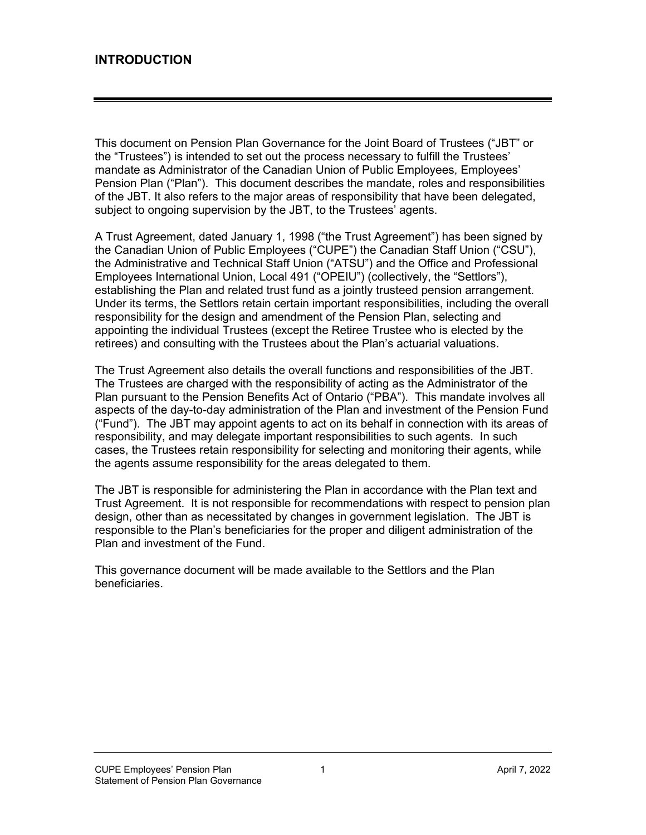This document on Pension Plan Governance for the Joint Board of Trustees ("JBT" or the "Trustees") is intended to set out the process necessary to fulfill the Trustees' mandate as Administrator of the Canadian Union of Public Employees, Employees' Pension Plan ("Plan"). This document describes the mandate, roles and responsibilities of the JBT. It also refers to the major areas of responsibility that have been delegated, subject to ongoing supervision by the JBT, to the Trustees' agents.

A Trust Agreement, dated January 1, 1998 ("the Trust Agreement") has been signed by the Canadian Union of Public Employees ("CUPE") the Canadian Staff Union ("CSU"), the Administrative and Technical Staff Union ("ATSU") and the Office and Professional Employees International Union, Local 491 ("OPEIU") (collectively, the "Settlors"), establishing the Plan and related trust fund as a jointly trusteed pension arrangement. Under its terms, the Settlors retain certain important responsibilities, including the overall responsibility for the design and amendment of the Pension Plan, selecting and appointing the individual Trustees (except the Retiree Trustee who is elected by the retirees) and consulting with the Trustees about the Plan's actuarial valuations.

The Trust Agreement also details the overall functions and responsibilities of the JBT. The Trustees are charged with the responsibility of acting as the Administrator of the Plan pursuant to the Pension Benefits Act of Ontario ("PBA"). This mandate involves all aspects of the day-to-day administration of the Plan and investment of the Pension Fund ("Fund"). The JBT may appoint agents to act on its behalf in connection with its areas of responsibility, and may delegate important responsibilities to such agents. In such cases, the Trustees retain responsibility for selecting and monitoring their agents, while the agents assume responsibility for the areas delegated to them.

The JBT is responsible for administering the Plan in accordance with the Plan text and Trust Agreement. It is not responsible for recommendations with respect to pension plan design, other than as necessitated by changes in government legislation. The JBT is responsible to the Plan's beneficiaries for the proper and diligent administration of the Plan and investment of the Fund.

This governance document will be made available to the Settlors and the Plan beneficiaries.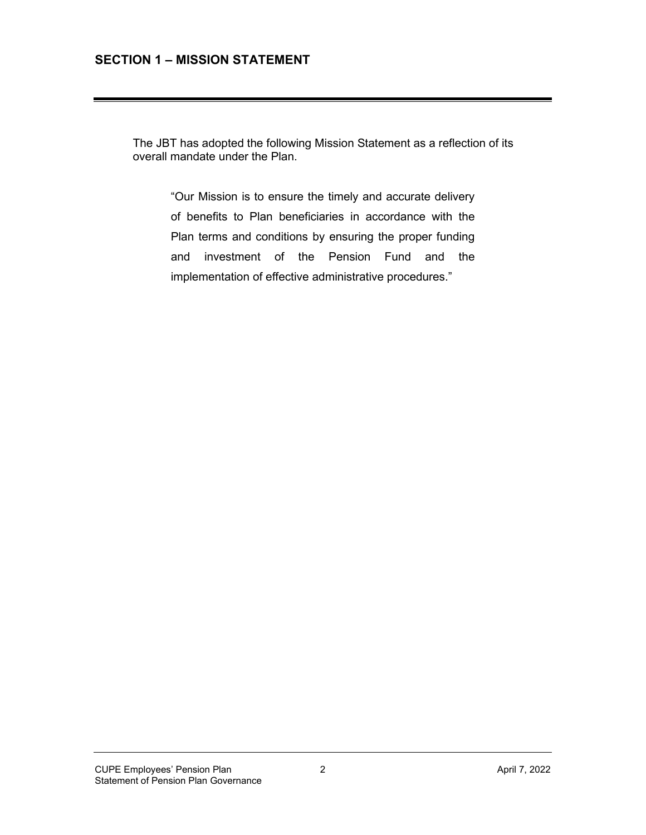# **SECTION 1 – MISSION STATEMENT**

The JBT has adopted the following Mission Statement as a reflection of its overall mandate under the Plan.

"Our Mission is to ensure the timely and accurate delivery of benefits to Plan beneficiaries in accordance with the Plan terms and conditions by ensuring the proper funding and investment of the Pension Fund and the implementation of effective administrative procedures."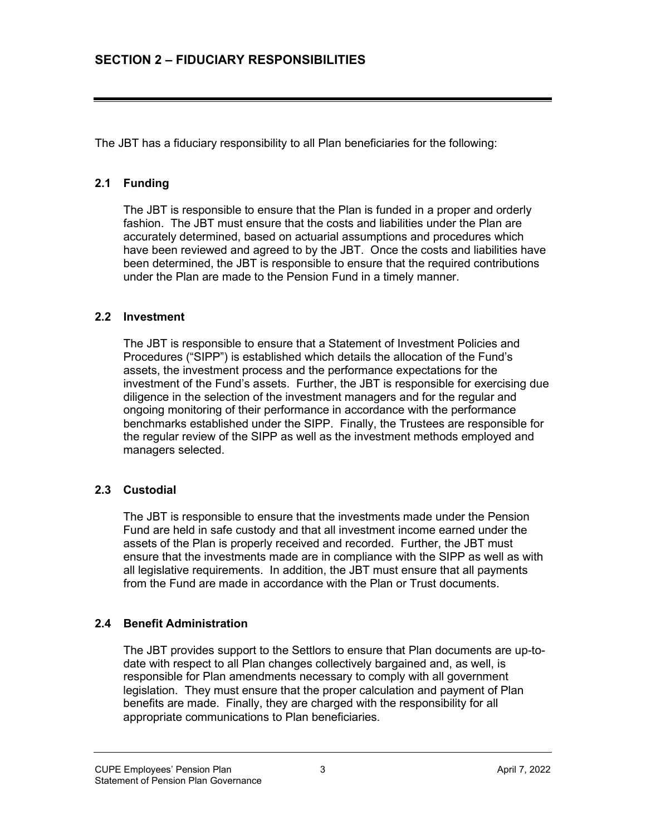The JBT has a fiduciary responsibility to all Plan beneficiaries for the following:

#### **2.1 Funding**

The JBT is responsible to ensure that the Plan is funded in a proper and orderly fashion. The JBT must ensure that the costs and liabilities under the Plan are accurately determined, based on actuarial assumptions and procedures which have been reviewed and agreed to by the JBT. Once the costs and liabilities have been determined, the JBT is responsible to ensure that the required contributions under the Plan are made to the Pension Fund in a timely manner.

#### **2.2 Investment**

The JBT is responsible to ensure that a Statement of Investment Policies and Procedures ("SIPP") is established which details the allocation of the Fund's assets, the investment process and the performance expectations for the investment of the Fund's assets. Further, the JBT is responsible for exercising due diligence in the selection of the investment managers and for the regular and ongoing monitoring of their performance in accordance with the performance benchmarks established under the SIPP. Finally, the Trustees are responsible for the regular review of the SIPP as well as the investment methods employed and managers selected.

# **2.3 Custodial**

The JBT is responsible to ensure that the investments made under the Pension Fund are held in safe custody and that all investment income earned under the assets of the Plan is properly received and recorded. Further, the JBT must ensure that the investments made are in compliance with the SIPP as well as with all legislative requirements. In addition, the JBT must ensure that all payments from the Fund are made in accordance with the Plan or Trust documents.

# **2.4 Benefit Administration**

The JBT provides support to the Settlors to ensure that Plan documents are up-todate with respect to all Plan changes collectively bargained and, as well, is responsible for Plan amendments necessary to comply with all government legislation. They must ensure that the proper calculation and payment of Plan benefits are made. Finally, they are charged with the responsibility for all appropriate communications to Plan beneficiaries.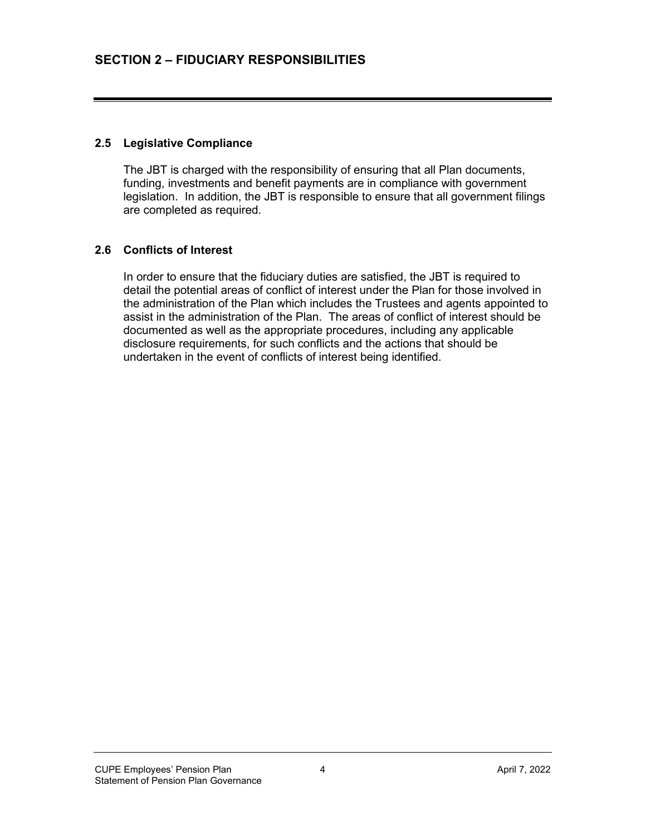#### **2.5 Legislative Compliance**

The JBT is charged with the responsibility of ensuring that all Plan documents, funding, investments and benefit payments are in compliance with government legislation. In addition, the JBT is responsible to ensure that all government filings are completed as required.

#### **2.6 Conflicts of Interest**

In order to ensure that the fiduciary duties are satisfied, the JBT is required to detail the potential areas of conflict of interest under the Plan for those involved in the administration of the Plan which includes the Trustees and agents appointed to assist in the administration of the Plan. The areas of conflict of interest should be documented as well as the appropriate procedures, including any applicable disclosure requirements, for such conflicts and the actions that should be undertaken in the event of conflicts of interest being identified.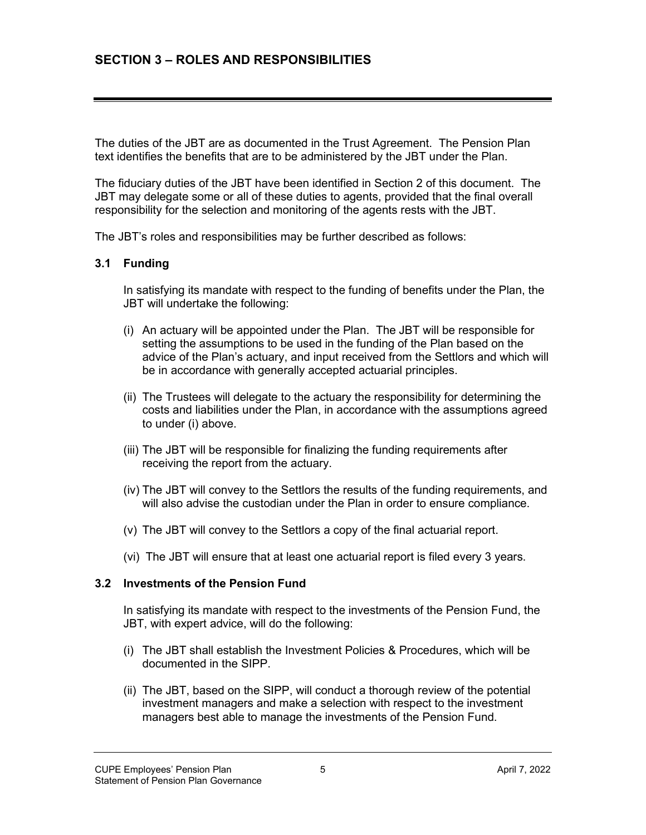The duties of the JBT are as documented in the Trust Agreement. The Pension Plan text identifies the benefits that are to be administered by the JBT under the Plan.

The fiduciary duties of the JBT have been identified in Section 2 of this document. The JBT may delegate some or all of these duties to agents, provided that the final overall responsibility for the selection and monitoring of the agents rests with the JBT.

The JBT's roles and responsibilities may be further described as follows:

#### **3.1 Funding**

In satisfying its mandate with respect to the funding of benefits under the Plan, the JBT will undertake the following:

- (i) An actuary will be appointed under the Plan. The JBT will be responsible for setting the assumptions to be used in the funding of the Plan based on the advice of the Plan's actuary, and input received from the Settlors and which will be in accordance with generally accepted actuarial principles.
- (ii) The Trustees will delegate to the actuary the responsibility for determining the costs and liabilities under the Plan, in accordance with the assumptions agreed to under (i) above.
- (iii) The JBT will be responsible for finalizing the funding requirements after receiving the report from the actuary.
- (iv) The JBT will convey to the Settlors the results of the funding requirements, and will also advise the custodian under the Plan in order to ensure compliance.
- (v) The JBT will convey to the Settlors a copy of the final actuarial report.
- (vi) The JBT will ensure that at least one actuarial report is filed every 3 years.

#### **3.2 Investments of the Pension Fund**

In satisfying its mandate with respect to the investments of the Pension Fund, the JBT, with expert advice, will do the following:

- (i) The JBT shall establish the Investment Policies & Procedures, which will be documented in the SIPP.
- (ii) The JBT, based on the SIPP, will conduct a thorough review of the potential investment managers and make a selection with respect to the investment managers best able to manage the investments of the Pension Fund.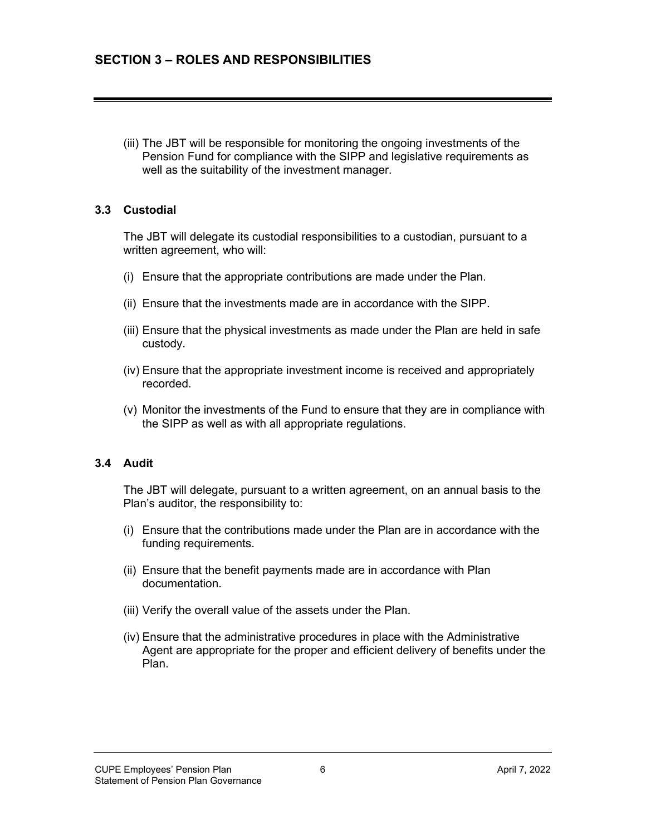(iii) The JBT will be responsible for monitoring the ongoing investments of the Pension Fund for compliance with the SIPP and legislative requirements as well as the suitability of the investment manager.

#### **3.3 Custodial**

The JBT will delegate its custodial responsibilities to a custodian, pursuant to a written agreement, who will:

- (i) Ensure that the appropriate contributions are made under the Plan.
- (ii) Ensure that the investments made are in accordance with the SIPP.
- (iii) Ensure that the physical investments as made under the Plan are held in safe custody.
- (iv) Ensure that the appropriate investment income is received and appropriately recorded.
- (v) Monitor the investments of the Fund to ensure that they are in compliance with the SIPP as well as with all appropriate regulations.

#### **3.4 Audit**

The JBT will delegate, pursuant to a written agreement, on an annual basis to the Plan's auditor, the responsibility to:

- (i) Ensure that the contributions made under the Plan are in accordance with the funding requirements.
- (ii) Ensure that the benefit payments made are in accordance with Plan documentation.
- (iii) Verify the overall value of the assets under the Plan.
- (iv) Ensure that the administrative procedures in place with the Administrative Agent are appropriate for the proper and efficient delivery of benefits under the Plan.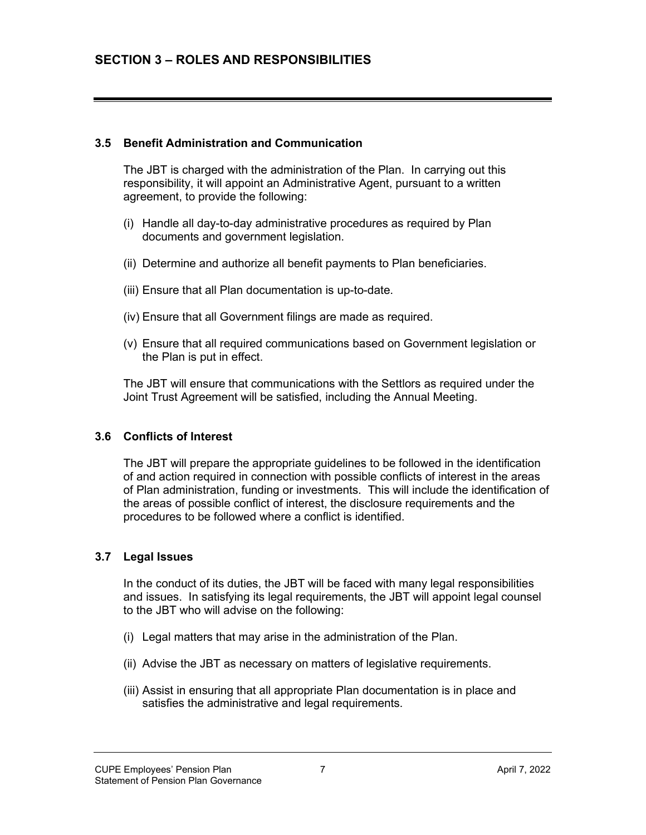#### **3.5 Benefit Administration and Communication**

The JBT is charged with the administration of the Plan. In carrying out this responsibility, it will appoint an Administrative Agent, pursuant to a written agreement, to provide the following:

- (i) Handle all day-to-day administrative procedures as required by Plan documents and government legislation.
- (ii) Determine and authorize all benefit payments to Plan beneficiaries.
- (iii) Ensure that all Plan documentation is up-to-date.
- (iv) Ensure that all Government filings are made as required.
- (v) Ensure that all required communications based on Government legislation or the Plan is put in effect.

The JBT will ensure that communications with the Settlors as required under the Joint Trust Agreement will be satisfied, including the Annual Meeting.

#### **3.6 Conflicts of Interest**

The JBT will prepare the appropriate guidelines to be followed in the identification of and action required in connection with possible conflicts of interest in the areas of Plan administration, funding or investments. This will include the identification of the areas of possible conflict of interest, the disclosure requirements and the procedures to be followed where a conflict is identified.

# **3.7 Legal Issues**

In the conduct of its duties, the JBT will be faced with many legal responsibilities and issues. In satisfying its legal requirements, the JBT will appoint legal counsel to the JBT who will advise on the following:

- (i) Legal matters that may arise in the administration of the Plan.
- (ii) Advise the JBT as necessary on matters of legislative requirements.
- (iii) Assist in ensuring that all appropriate Plan documentation is in place and satisfies the administrative and legal requirements.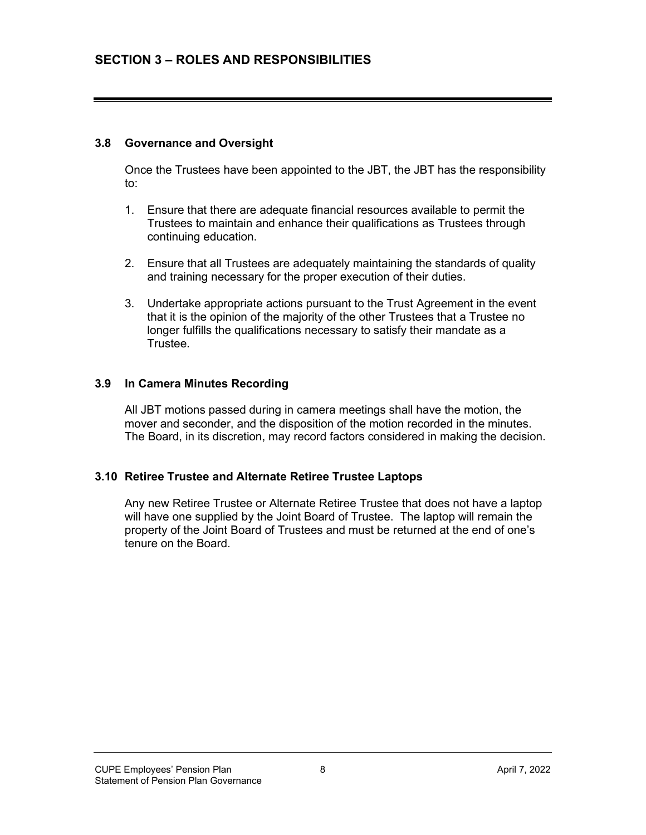#### **3.8 Governance and Oversight**

Once the Trustees have been appointed to the JBT, the JBT has the responsibility to:

- 1. Ensure that there are adequate financial resources available to permit the Trustees to maintain and enhance their qualifications as Trustees through continuing education.
- 2. Ensure that all Trustees are adequately maintaining the standards of quality and training necessary for the proper execution of their duties.
- 3. Undertake appropriate actions pursuant to the Trust Agreement in the event that it is the opinion of the majority of the other Trustees that a Trustee no longer fulfills the qualifications necessary to satisfy their mandate as a Trustee.

#### **3.9 In Camera Minutes Recording**

All JBT motions passed during in camera meetings shall have the motion, the mover and seconder, and the disposition of the motion recorded in the minutes. The Board, in its discretion, may record factors considered in making the decision.

#### **3.10 Retiree Trustee and Alternate Retiree Trustee Laptops**

Any new Retiree Trustee or Alternate Retiree Trustee that does not have a laptop will have one supplied by the Joint Board of Trustee. The laptop will remain the property of the Joint Board of Trustees and must be returned at the end of one's tenure on the Board.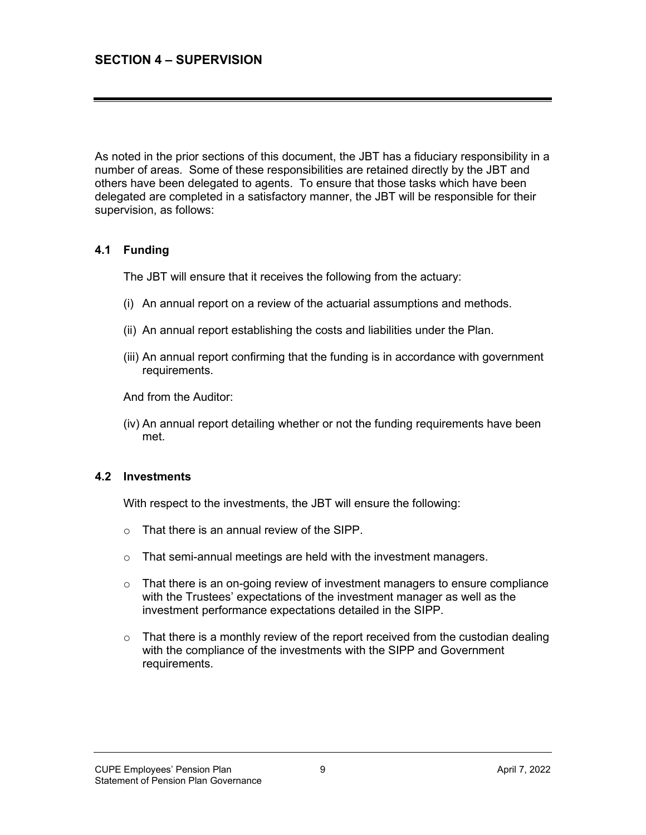As noted in the prior sections of this document, the JBT has a fiduciary responsibility in a number of areas. Some of these responsibilities are retained directly by the JBT and others have been delegated to agents. To ensure that those tasks which have been delegated are completed in a satisfactory manner, the JBT will be responsible for their supervision, as follows:

# **4.1 Funding**

The JBT will ensure that it receives the following from the actuary:

- (i) An annual report on a review of the actuarial assumptions and methods.
- (ii) An annual report establishing the costs and liabilities under the Plan.
- (iii) An annual report confirming that the funding is in accordance with government requirements.

And from the Auditor:

(iv) An annual report detailing whether or not the funding requirements have been met.

#### **4.2 Investments**

With respect to the investments, the JBT will ensure the following:

- o That there is an annual review of the SIPP.
- o That semi-annual meetings are held with the investment managers.
- $\circ$  That there is an on-going review of investment managers to ensure compliance with the Trustees' expectations of the investment manager as well as the investment performance expectations detailed in the SIPP.
- $\circ$  That there is a monthly review of the report received from the custodian dealing with the compliance of the investments with the SIPP and Government requirements.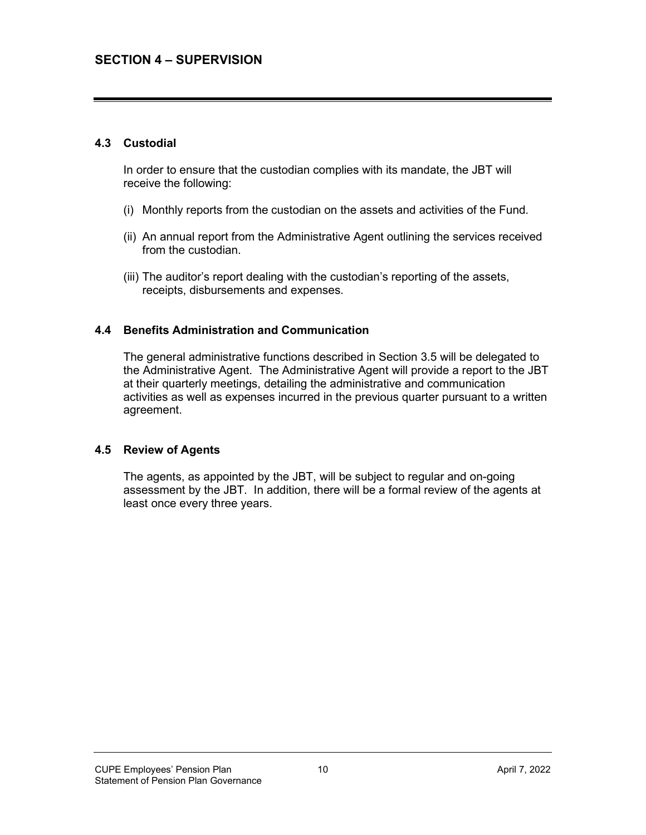#### **4.3 Custodial**

In order to ensure that the custodian complies with its mandate, the JBT will receive the following:

- (i) Monthly reports from the custodian on the assets and activities of the Fund.
- (ii) An annual report from the Administrative Agent outlining the services received from the custodian.
- (iii) The auditor's report dealing with the custodian's reporting of the assets, receipts, disbursements and expenses.

#### **4.4 Benefits Administration and Communication**

The general administrative functions described in Section 3.5 will be delegated to the Administrative Agent. The Administrative Agent will provide a report to the JBT at their quarterly meetings, detailing the administrative and communication activities as well as expenses incurred in the previous quarter pursuant to a written agreement.

#### **4.5 Review of Agents**

The agents, as appointed by the JBT, will be subject to regular and on-going assessment by the JBT. In addition, there will be a formal review of the agents at least once every three years.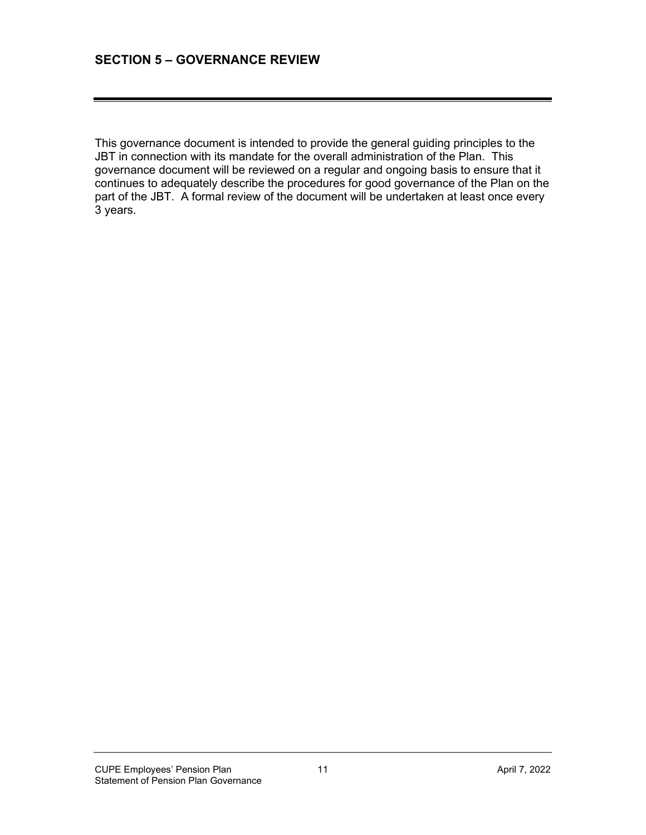This governance document is intended to provide the general guiding principles to the JBT in connection with its mandate for the overall administration of the Plan. This governance document will be reviewed on a regular and ongoing basis to ensure that it continues to adequately describe the procedures for good governance of the Plan on the part of the JBT. A formal review of the document will be undertaken at least once every 3 years.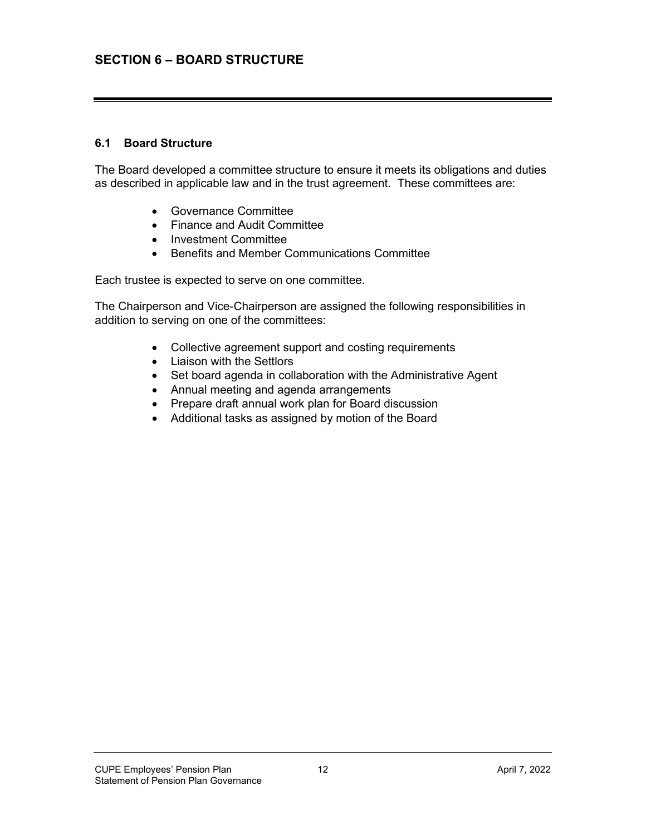# **SECTION 6 – BOARD STRUCTURE**

#### **6.1 Board Structure**

The Board developed a committee structure to ensure it meets its obligations and duties as described in applicable law and in the trust agreement. These committees are:

- Governance Committee
- Finance and Audit Committee
- Investment Committee
- Benefits and Member Communications Committee

Each trustee is expected to serve on one committee.

The Chairperson and Vice-Chairperson are assigned the following responsibilities in addition to serving on one of the committees:

- Collective agreement support and costing requirements
- Liaison with the Settlors
- Set board agenda in collaboration with the Administrative Agent
- Annual meeting and agenda arrangements
- Prepare draft annual work plan for Board discussion
- Additional tasks as assigned by motion of the Board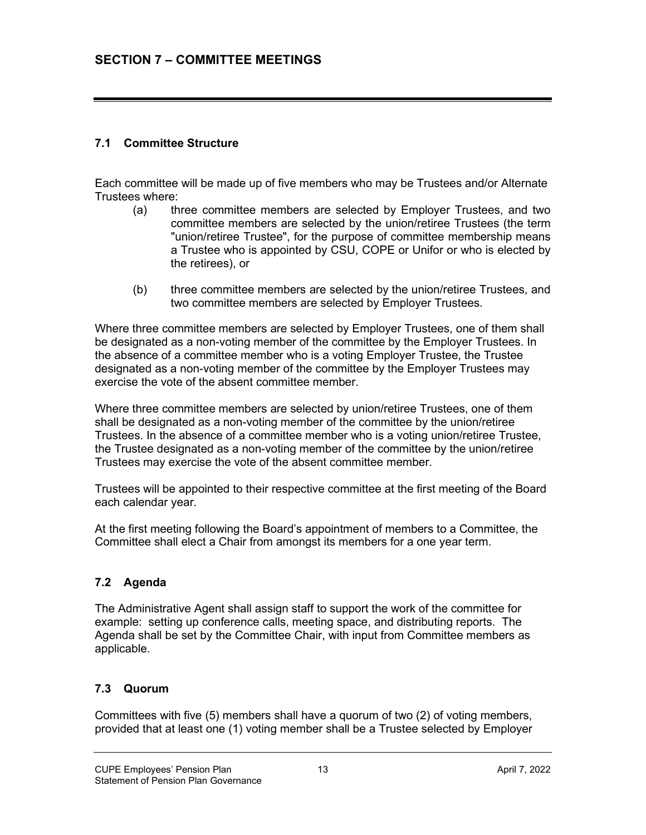# **7.1 Committee Structure**

Each committee will be made up of five members who may be Trustees and/or Alternate Trustees where:

- (a) three committee members are selected by Employer Trustees, and two committee members are selected by the union/retiree Trustees (the term "union/retiree Trustee", for the purpose of committee membership means a Trustee who is appointed by CSU, COPE or Unifor or who is elected by the retirees), or
- (b) three committee members are selected by the union/retiree Trustees, and two committee members are selected by Employer Trustees.

Where three committee members are selected by Employer Trustees, one of them shall be designated as a non-voting member of the committee by the Employer Trustees. In the absence of a committee member who is a voting Employer Trustee, the Trustee designated as a non-voting member of the committee by the Employer Trustees may exercise the vote of the absent committee member.

Where three committee members are selected by union/retiree Trustees, one of them shall be designated as a non-voting member of the committee by the union/retiree Trustees. In the absence of a committee member who is a voting union/retiree Trustee, the Trustee designated as a non-voting member of the committee by the union/retiree Trustees may exercise the vote of the absent committee member.

Trustees will be appointed to their respective committee at the first meeting of the Board each calendar year.

At the first meeting following the Board's appointment of members to a Committee, the Committee shall elect a Chair from amongst its members for a one year term.

#### **7.2 Agenda**

The Administrative Agent shall assign staff to support the work of the committee for example: setting up conference calls, meeting space, and distributing reports. The Agenda shall be set by the Committee Chair, with input from Committee members as applicable.

#### **7.3 Quorum**

Committees with five (5) members shall have a quorum of two (2) of voting members, provided that at least one (1) voting member shall be a Trustee selected by Employer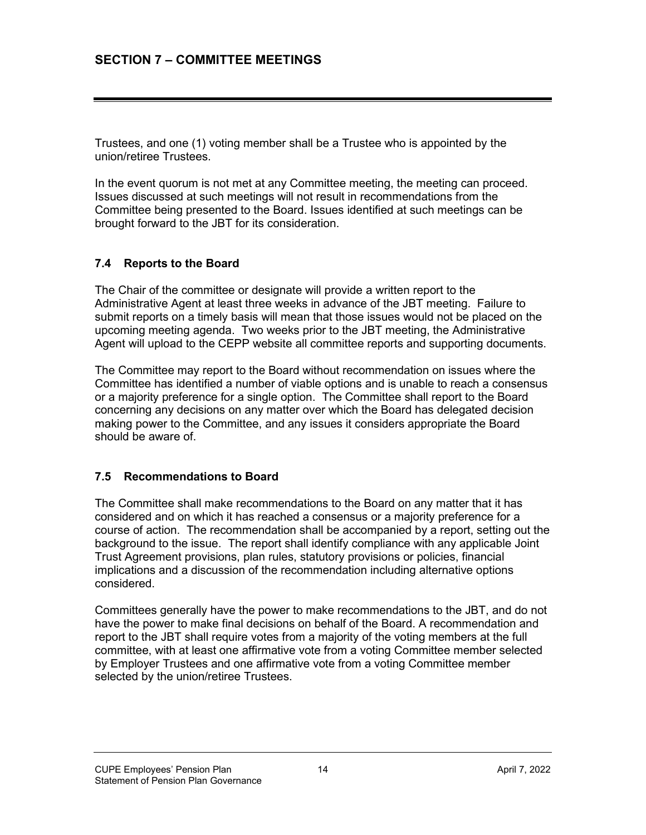Trustees, and one (1) voting member shall be a Trustee who is appointed by the union/retiree Trustees.

In the event quorum is not met at any Committee meeting, the meeting can proceed. Issues discussed at such meetings will not result in recommendations from the Committee being presented to the Board. Issues identified at such meetings can be brought forward to the JBT for its consideration.

# **7.4 Reports to the Board**

The Chair of the committee or designate will provide a written report to the Administrative Agent at least three weeks in advance of the JBT meeting. Failure to submit reports on a timely basis will mean that those issues would not be placed on the upcoming meeting agenda. Two weeks prior to the JBT meeting, the Administrative Agent will upload to the CEPP website all committee reports and supporting documents.

The Committee may report to the Board without recommendation on issues where the Committee has identified a number of viable options and is unable to reach a consensus or a majority preference for a single option. The Committee shall report to the Board concerning any decisions on any matter over which the Board has delegated decision making power to the Committee, and any issues it considers appropriate the Board should be aware of.

# **7.5 Recommendations to Board**

The Committee shall make recommendations to the Board on any matter that it has considered and on which it has reached a consensus or a majority preference for a course of action. The recommendation shall be accompanied by a report, setting out the background to the issue. The report shall identify compliance with any applicable Joint Trust Agreement provisions, plan rules, statutory provisions or policies, financial implications and a discussion of the recommendation including alternative options considered.

Committees generally have the power to make recommendations to the JBT, and do not have the power to make final decisions on behalf of the Board. A recommendation and report to the JBT shall require votes from a majority of the voting members at the full committee, with at least one affirmative vote from a voting Committee member selected by Employer Trustees and one affirmative vote from a voting Committee member selected by the union/retiree Trustees.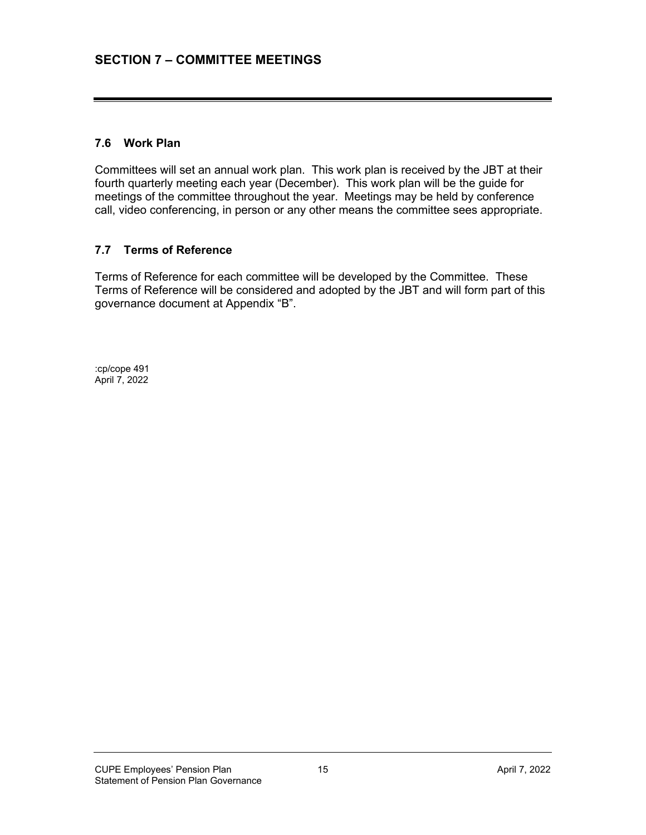# **7.6 Work Plan**

Committees will set an annual work plan. This work plan is received by the JBT at their fourth quarterly meeting each year (December). This work plan will be the guide for meetings of the committee throughout the year. Meetings may be held by conference call, video conferencing, in person or any other means the committee sees appropriate.

# **7.7 Terms of Reference**

Terms of Reference for each committee will be developed by the Committee. These Terms of Reference will be considered and adopted by the JBT and will form part of this governance document at Appendix "B".

:cp/cope 491 April 7, 2022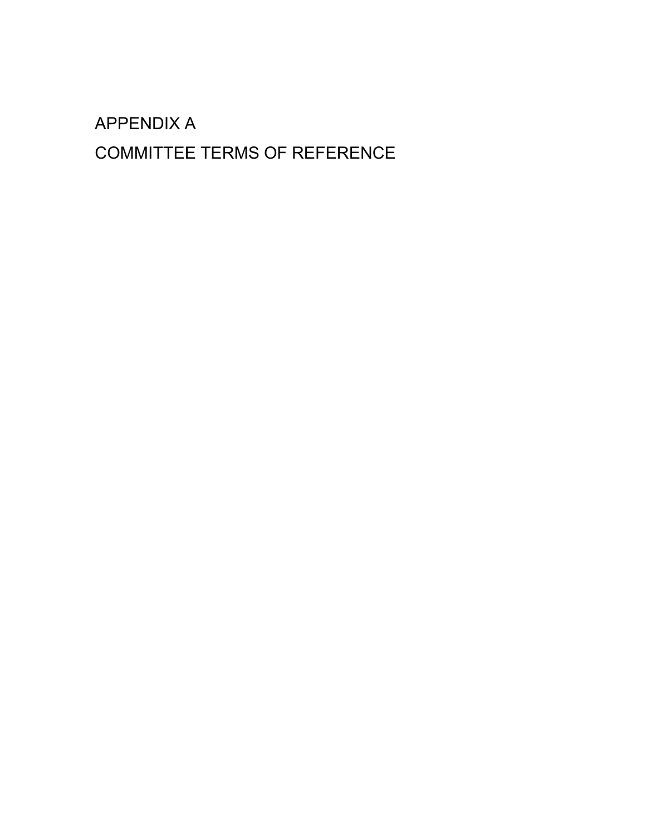# APPENDIX A

# COMMITTEE TERMS OF REFERENCE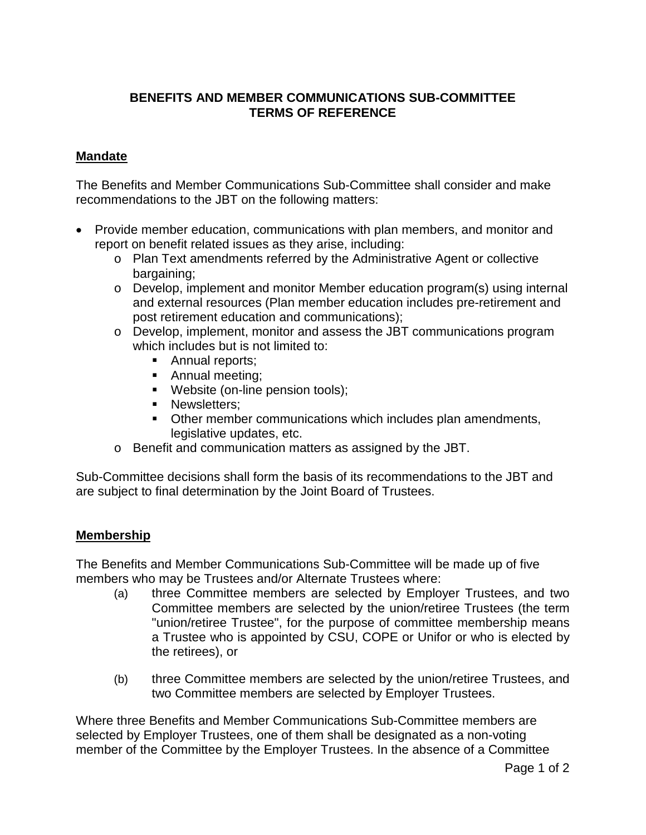# **BENEFITS AND MEMBER COMMUNICATIONS SUB-COMMITTEE TERMS OF REFERENCE**

# **Mandate**

The Benefits and Member Communications Sub-Committee shall consider and make recommendations to the JBT on the following matters:

- Provide member education, communications with plan members, and monitor and report on benefit related issues as they arise, including:
	- o Plan Text amendments referred by the Administrative Agent or collective bargaining;
	- $\circ$  Develop, implement and monitor Member education program(s) using internal and external resources (Plan member education includes pre-retirement and post retirement education and communications);
	- o Develop, implement, monitor and assess the JBT communications program which includes but is not limited to:
		- Annual reports:
		- Annual meeting;
		- **Website (on-line pension tools);**
		- **Newsletters:**
		- Other member communications which includes plan amendments, legislative updates, etc.
	- o Benefit and communication matters as assigned by the JBT.

Sub-Committee decisions shall form the basis of its recommendations to the JBT and are subject to final determination by the Joint Board of Trustees.

# **Membership**

The Benefits and Member Communications Sub-Committee will be made up of five members who may be Trustees and/or Alternate Trustees where:

- (a) three Committee members are selected by Employer Trustees, and two Committee members are selected by the union/retiree Trustees (the term "union/retiree Trustee", for the purpose of committee membership means a Trustee who is appointed by CSU, COPE or Unifor or who is elected by the retirees), or
- (b) three Committee members are selected by the union/retiree Trustees, and two Committee members are selected by Employer Trustees.

Where three Benefits and Member Communications Sub-Committee members are selected by Employer Trustees, one of them shall be designated as a non-voting member of the Committee by the Employer Trustees. In the absence of a Committee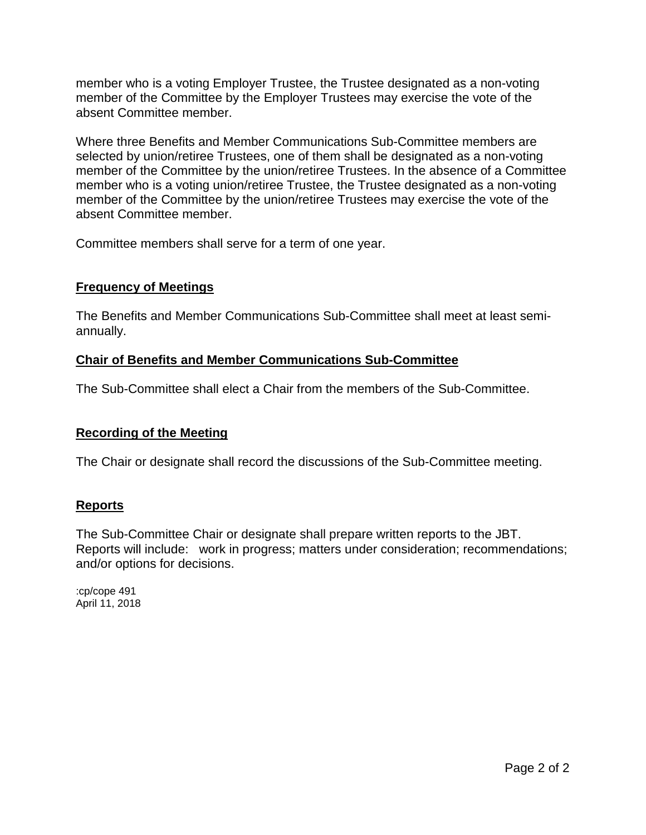member who is a voting Employer Trustee, the Trustee designated as a non-voting member of the Committee by the Employer Trustees may exercise the vote of the absent Committee member.

Where three Benefits and Member Communications Sub-Committee members are selected by union/retiree Trustees, one of them shall be designated as a non-voting member of the Committee by the union/retiree Trustees. In the absence of a Committee member who is a voting union/retiree Trustee, the Trustee designated as a non-voting member of the Committee by the union/retiree Trustees may exercise the vote of the absent Committee member.

Committee members shall serve for a term of one year.

# **Frequency of Meetings**

The Benefits and Member Communications Sub-Committee shall meet at least semiannually.

#### **Chair of Benefits and Member Communications Sub-Committee**

The Sub-Committee shall elect a Chair from the members of the Sub-Committee.

#### **Recording of the Meeting**

The Chair or designate shall record the discussions of the Sub-Committee meeting.

#### **Reports**

The Sub-Committee Chair or designate shall prepare written reports to the JBT. Reports will include: work in progress; matters under consideration; recommendations; and/or options for decisions.

:cp/cope 491 April 11, 2018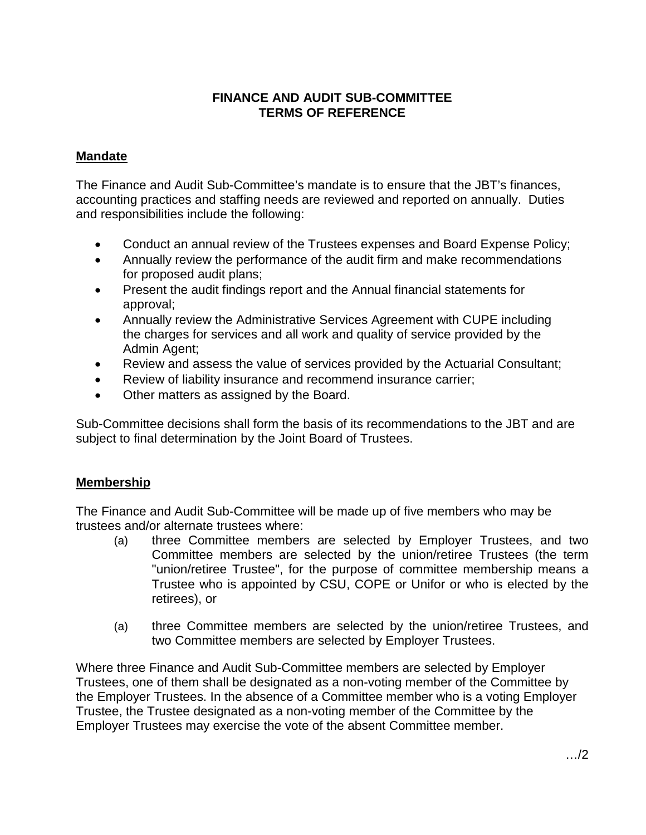# **FINANCE AND AUDIT SUB-COMMITTEE TERMS OF REFERENCE**

# **Mandate**

The Finance and Audit Sub-Committee's mandate is to ensure that the JBT's finances, accounting practices and staffing needs are reviewed and reported on annually. Duties and responsibilities include the following:

- Conduct an annual review of the Trustees expenses and Board Expense Policy;
- Annually review the performance of the audit firm and make recommendations for proposed audit plans;
- Present the audit findings report and the Annual financial statements for approval;
- Annually review the Administrative Services Agreement with CUPE including the charges for services and all work and quality of service provided by the Admin Agent;
- Review and assess the value of services provided by the Actuarial Consultant;
- Review of liability insurance and recommend insurance carrier;
- Other matters as assigned by the Board.

Sub-Committee decisions shall form the basis of its recommendations to the JBT and are subject to final determination by the Joint Board of Trustees.

# **Membership**

The Finance and Audit Sub-Committee will be made up of five members who may be trustees and/or alternate trustees where:

- (a) three Committee members are selected by Employer Trustees, and two Committee members are selected by the union/retiree Trustees (the term "union/retiree Trustee", for the purpose of committee membership means a Trustee who is appointed by CSU, COPE or Unifor or who is elected by the retirees), or
- (a) three Committee members are selected by the union/retiree Trustees, and two Committee members are selected by Employer Trustees.

Where three Finance and Audit Sub-Committee members are selected by Employer Trustees, one of them shall be designated as a non-voting member of the Committee by the Employer Trustees. In the absence of a Committee member who is a voting Employer Trustee, the Trustee designated as a non-voting member of the Committee by the Employer Trustees may exercise the vote of the absent Committee member.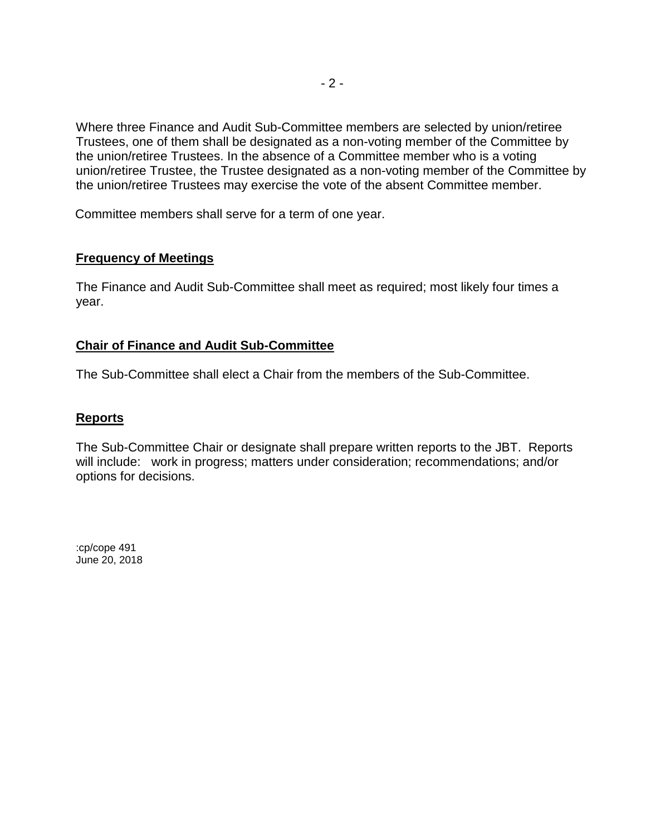Where three Finance and Audit Sub-Committee members are selected by union/retiree Trustees, one of them shall be designated as a non-voting member of the Committee by the union/retiree Trustees. In the absence of a Committee member who is a voting union/retiree Trustee, the Trustee designated as a non-voting member of the Committee by the union/retiree Trustees may exercise the vote of the absent Committee member.

Committee members shall serve for a term of one year.

# **Frequency of Meetings**

The Finance and Audit Sub-Committee shall meet as required; most likely four times a year.

# **Chair of Finance and Audit Sub-Committee**

The Sub-Committee shall elect a Chair from the members of the Sub-Committee.

# **Reports**

The Sub-Committee Chair or designate shall prepare written reports to the JBT. Reports will include: work in progress; matters under consideration; recommendations; and/or options for decisions.

:cp/cope 491 June 20, 2018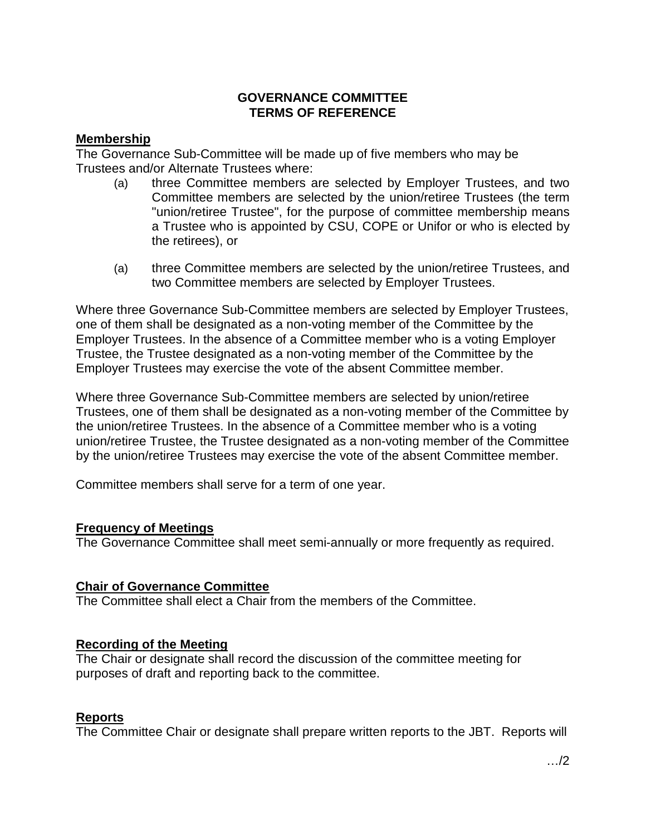# **GOVERNANCE COMMITTEE TERMS OF REFERENCE**

#### **Membership**

The Governance Sub-Committee will be made up of five members who may be Trustees and/or Alternate Trustees where:

- (a) three Committee members are selected by Employer Trustees, and two Committee members are selected by the union/retiree Trustees (the term "union/retiree Trustee", for the purpose of committee membership means a Trustee who is appointed by CSU, COPE or Unifor or who is elected by the retirees), or
- (a) three Committee members are selected by the union/retiree Trustees, and two Committee members are selected by Employer Trustees.

Where three Governance Sub-Committee members are selected by Employer Trustees, one of them shall be designated as a non-voting member of the Committee by the Employer Trustees. In the absence of a Committee member who is a voting Employer Trustee, the Trustee designated as a non-voting member of the Committee by the Employer Trustees may exercise the vote of the absent Committee member.

Where three Governance Sub-Committee members are selected by union/retiree Trustees, one of them shall be designated as a non-voting member of the Committee by the union/retiree Trustees. In the absence of a Committee member who is a voting union/retiree Trustee, the Trustee designated as a non-voting member of the Committee by the union/retiree Trustees may exercise the vote of the absent Committee member.

Committee members shall serve for a term of one year.

# **Frequency of Meetings**

The Governance Committee shall meet semi-annually or more frequently as required.

#### **Chair of Governance Committee**

The Committee shall elect a Chair from the members of the Committee.

#### **Recording of the Meeting**

The Chair or designate shall record the discussion of the committee meeting for purposes of draft and reporting back to the committee.

#### **Reports**

The Committee Chair or designate shall prepare written reports to the JBT. Reports will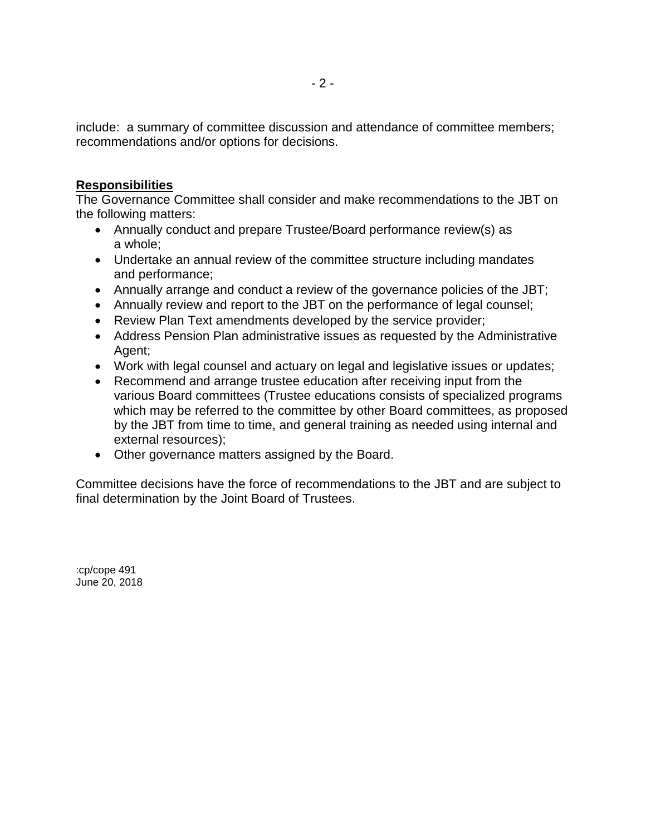include: a summary of committee discussion and attendance of committee members; recommendations and/or options for decisions.

# **Responsibilities**

The Governance Committee shall consider and make recommendations to the JBT on the following matters:

- Annually conduct and prepare Trustee/Board performance review(s) as a whole;
- Undertake an annual review of the committee structure including mandates and performance;
- Annually arrange and conduct a review of the governance policies of the JBT;
- Annually review and report to the JBT on the performance of legal counsel;
- Review Plan Text amendments developed by the service provider;
- Address Pension Plan administrative issues as requested by the Administrative Agent;
- Work with legal counsel and actuary on legal and legislative issues or updates;
- Recommend and arrange trustee education after receiving input from the various Board committees (Trustee educations consists of specialized programs which may be referred to the committee by other Board committees, as proposed by the JBT from time to time, and general training as needed using internal and external resources);
- Other governance matters assigned by the Board.

Committee decisions have the force of recommendations to the JBT and are subject to final determination by the Joint Board of Trustees.

:cp/cope 491 June 20, 2018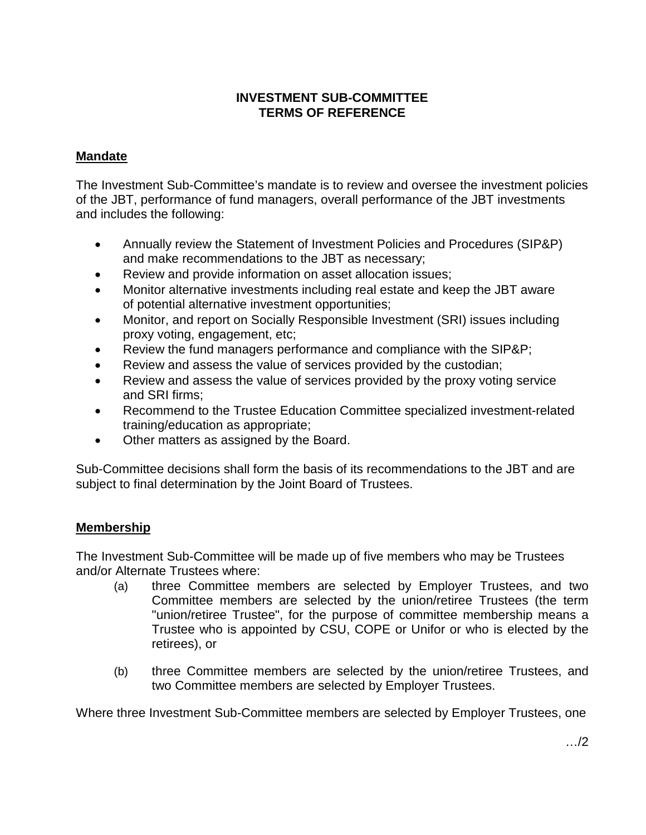# **INVESTMENT SUB-COMMITTEE TERMS OF REFERENCE**

# **Mandate**

The Investment Sub-Committee's mandate is to review and oversee the investment policies of the JBT, performance of fund managers, overall performance of the JBT investments and includes the following:

- Annually review the Statement of Investment Policies and Procedures (SIP&P) and make recommendations to the JBT as necessary;
- Review and provide information on asset allocation issues;
- Monitor alternative investments including real estate and keep the JBT aware of potential alternative investment opportunities;
- Monitor, and report on Socially Responsible Investment (SRI) issues including proxy voting, engagement, etc;
- Review the fund managers performance and compliance with the SIP&P;
- Review and assess the value of services provided by the custodian;
- Review and assess the value of services provided by the proxy voting service and SRI firms;
- Recommend to the Trustee Education Committee specialized investment-related training/education as appropriate;
- Other matters as assigned by the Board.

Sub-Committee decisions shall form the basis of its recommendations to the JBT and are subject to final determination by the Joint Board of Trustees.

# **Membership**

The Investment Sub-Committee will be made up of five members who may be Trustees and/or Alternate Trustees where:

- (a) three Committee members are selected by Employer Trustees, and two Committee members are selected by the union/retiree Trustees (the term "union/retiree Trustee", for the purpose of committee membership means a Trustee who is appointed by CSU, COPE or Unifor or who is elected by the retirees), or
- (b) three Committee members are selected by the union/retiree Trustees, and two Committee members are selected by Employer Trustees.

Where three Investment Sub-Committee members are selected by Employer Trustees, one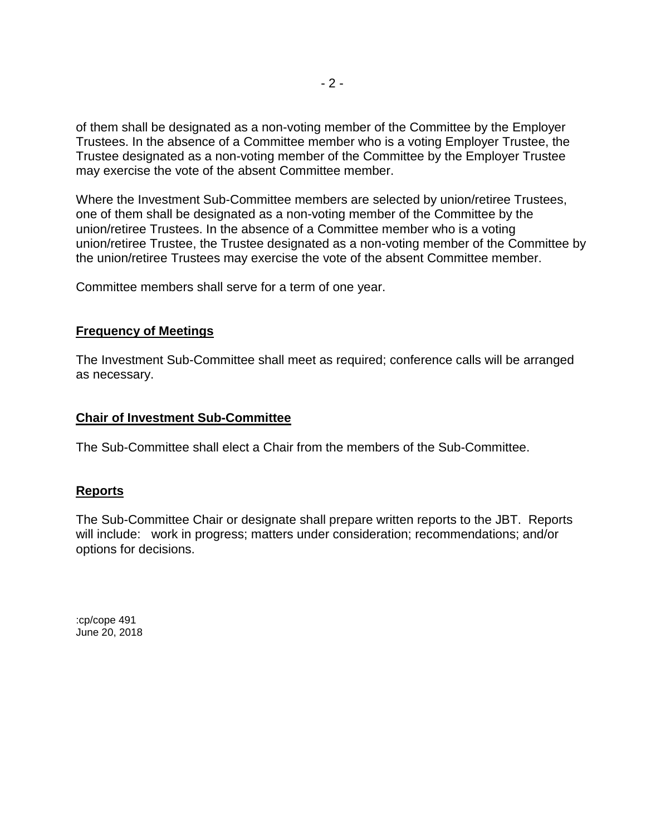of them shall be designated as a non-voting member of the Committee by the Employer Trustees. In the absence of a Committee member who is a voting Employer Trustee, the Trustee designated as a non-voting member of the Committee by the Employer Trustee may exercise the vote of the absent Committee member.

Where the Investment Sub-Committee members are selected by union/retiree Trustees, one of them shall be designated as a non-voting member of the Committee by the union/retiree Trustees. In the absence of a Committee member who is a voting union/retiree Trustee, the Trustee designated as a non-voting member of the Committee by the union/retiree Trustees may exercise the vote of the absent Committee member.

Committee members shall serve for a term of one year.

# **Frequency of Meetings**

The Investment Sub-Committee shall meet as required; conference calls will be arranged as necessary.

#### **Chair of Investment Sub-Committee**

The Sub-Committee shall elect a Chair from the members of the Sub-Committee.

# **Reports**

The Sub-Committee Chair or designate shall prepare written reports to the JBT. Reports will include: work in progress; matters under consideration; recommendations; and/or options for decisions.

:cp/cope 491 June 20, 2018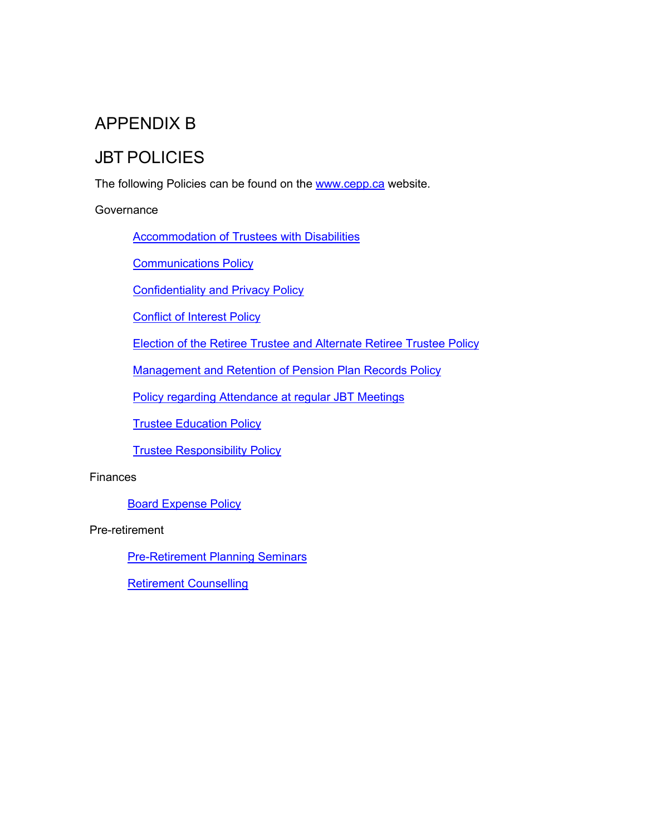# APPENDIX B

# JBT POLICIES

The following Policies can be found on the [www.cepp.ca](http://www.cepp.ca/) website.

#### **Governance**

[Accommodation of Trustees with Disabilities](https://www.cepp.ca/content/user_files/2015/01/Policies-Accommodation-of-Trustees-and-Alt-Trustees-with-Disabilities.pdf)

[Communications Policy](https://www.cepp.ca/content/user_files/2018/05/Communications-Policy.pdf)

[Confidentiality and Privacy Policy](https://www.cepp.ca/content/user_files/2015/01/Confidentiality-and-Privacy-Policy-FINAL-Eng.pdf)

[Conflict of Interest Policy](https://www.cepp.ca/content/user_files/2015/01/Conflict-of-Interest-Policy-May-27-03-adopted-June-2006-Mtg.pdf)

[Election of the Retiree Trustee and Alternate Retiree Trustee Policy](https://www.cepp.ca/content/user_files/2015/01/Election-of-the-Retiree-and-Alternate-Retiree-Trustee-Policy-FINAL-for-Website-Eng.pdf)

[Management and Retention of Pension Plan Records Policy](https://www.cepp.ca/content/user_files/2015/01/Management-and-Retention-of-Pension-Plan-Records-Policy-FINAL-Eng.pdf)

[Policy regarding Attendance at regular JBT](https://www.cepp.ca/content/user_files/2021/11/Policy_Attendance_at_JBT_-Meeting_Effective_2021_06_10_EN.pdf) Meetings

[Trustee Education Policy](https://www.cepp.ca/content/user_files/2019/06/Trustee_Education_Policy_2019_04_17_EN.pdf)

[Trustee Responsibility Policy](https://www.cepp.ca/content/user_files/2015/01/Policies-Trustee-Responsibility.pdf)

#### Finances

[Board Expense Policy](https://www.cepp.ca/content/user_files/2019/04/Board_Expense_Policy_2019_04_17_EN.pdf)

Pre-retirement

[Pre-Retirement Planning Seminars](https://www.cepp.ca/content/user_files/2020/06/Policy_Pre-Retirement_Seminars_approved_2020_06_04_EN.pdf)

[Retirement Counselling](https://www.cepp.ca/content/user_files/2020/10/Policy_Retirement_Counselling_Sessions_approved_2020_10_05_EN.pdf)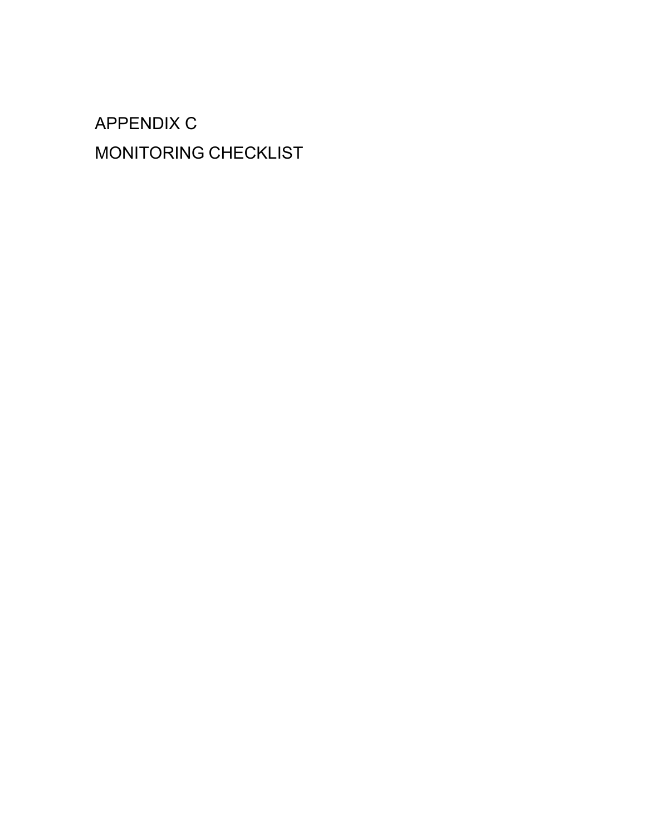# APPENDIX C MONITORING CHECKLIST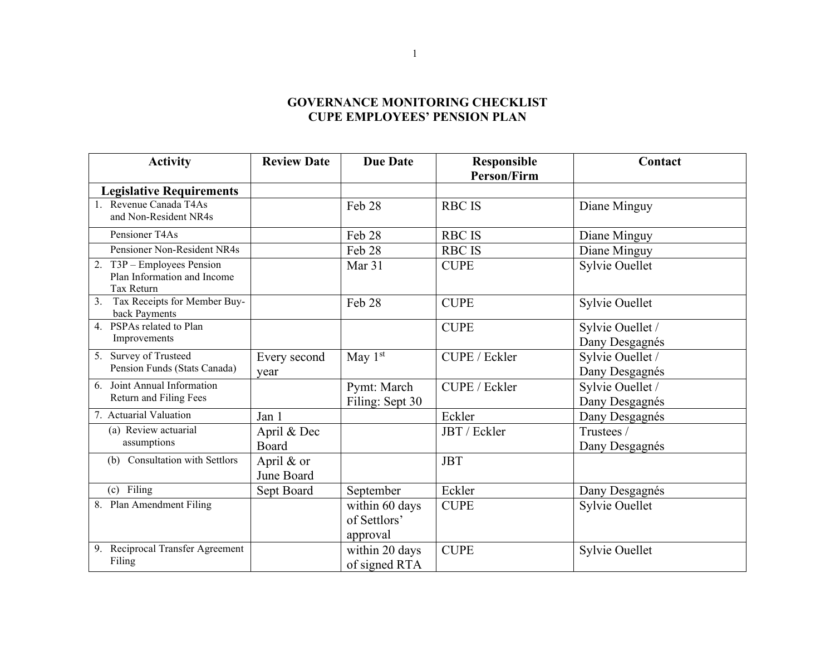# **GOVERNANCE MONITORING CHECKLIST CUPE EMPLOYEES' PENSION PLAN**

| <b>Activity</b>                           | <b>Review Date</b> | <b>Due Date</b> | Responsible        | Contact          |
|-------------------------------------------|--------------------|-----------------|--------------------|------------------|
|                                           |                    |                 | <b>Person/Firm</b> |                  |
| <b>Legislative Requirements</b>           |                    |                 |                    |                  |
| 1. Revenue Canada T4As                    |                    | Feb 28          | <b>RBC IS</b>      | Diane Minguy     |
| and Non-Resident NR4s                     |                    |                 |                    |                  |
| Pensioner T4As                            |                    | Feb 28          | <b>RBC IS</b>      | Diane Minguy     |
| Pensioner Non-Resident NR4s               |                    | Feb 28          | <b>RBC IS</b>      | Diane Minguy     |
| 2. T3P - Employees Pension                |                    | Mar 31          | <b>CUPE</b>        | Sylvie Ouellet   |
| Plan Information and Income<br>Tax Return |                    |                 |                    |                  |
| Tax Receipts for Member Buy-<br>3.        |                    | Feb 28          | <b>CUPE</b>        | Sylvie Ouellet   |
| back Payments                             |                    |                 |                    |                  |
| 4. PSPAs related to Plan                  |                    |                 | <b>CUPE</b>        | Sylvie Ouellet / |
| Improvements                              |                    |                 |                    | Dany Desgagnés   |
| 5. Survey of Trusteed                     | Every second       | May $1st$       | CUPE / Eckler      | Sylvie Ouellet / |
| Pension Funds (Stats Canada)              | year               |                 |                    | Dany Desgagnés   |
| 6. Joint Annual Information               |                    | Pymt: March     | CUPE / Eckler      | Sylvie Ouellet / |
| Return and Filing Fees                    |                    | Filing: Sept 30 |                    | Dany Desgagnés   |
| 7. Actuarial Valuation                    | Jan 1              |                 | Eckler             | Dany Desgagnés   |
| (a) Review actuarial                      | April & Dec        |                 | JBT / Eckler       | Trustees /       |
| assumptions                               | Board              |                 |                    | Dany Desgagnés   |
| Consultation with Settlors<br>(b)         | April & or         |                 | <b>JBT</b>         |                  |
|                                           | June Board         |                 |                    |                  |
| (c) Filing                                | Sept Board         | September       | Eckler             | Dany Desgagnés   |
| 8. Plan Amendment Filing                  |                    | within 60 days  | <b>CUPE</b>        | Sylvie Ouellet   |
|                                           |                    | of Settlors'    |                    |                  |
|                                           |                    | approval        |                    |                  |
| 9. Reciprocal Transfer Agreement          |                    | within 20 days  | <b>CUPE</b>        | Sylvie Ouellet   |
| Filing                                    |                    | of signed RTA   |                    |                  |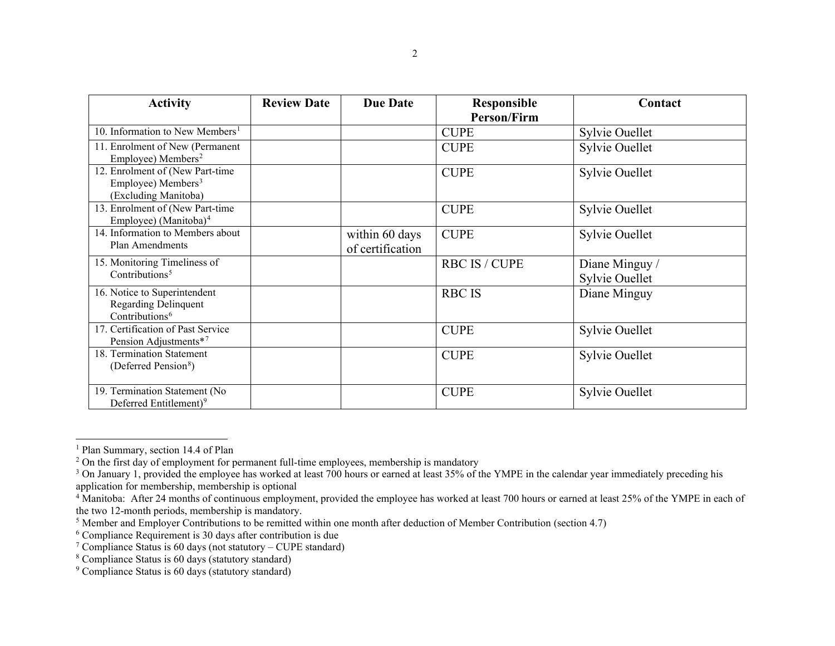<span id="page-30-8"></span><span id="page-30-7"></span><span id="page-30-6"></span><span id="page-30-5"></span><span id="page-30-4"></span><span id="page-30-3"></span><span id="page-30-2"></span><span id="page-30-1"></span><span id="page-30-0"></span>

| <b>Activity</b>                                                                           | <b>Review Date</b> | <b>Due Date</b>                    | <b>Responsible</b>   | Contact                          |
|-------------------------------------------------------------------------------------------|--------------------|------------------------------------|----------------------|----------------------------------|
|                                                                                           |                    |                                    | <b>Person/Firm</b>   |                                  |
| 10. Information to New Members <sup>1</sup>                                               |                    |                                    | <b>CUPE</b>          | Sylvie Ouellet                   |
| 11. Enrolment of New (Permanent<br>Employee) Members <sup>2</sup>                         |                    |                                    | <b>CUPE</b>          | Sylvie Ouellet                   |
| 12. Enrolment of (New Part-time<br>Employee) Members <sup>3</sup><br>(Excluding Manitoba) |                    |                                    | <b>CUPE</b>          | <b>Sylvie Ouellet</b>            |
| 13. Enrolment of (New Part-time<br>Employee) (Manitoba) <sup>4</sup>                      |                    |                                    | <b>CUPE</b>          | Sylvie Ouellet                   |
| 14. Information to Members about<br>Plan Amendments                                       |                    | within 60 days<br>of certification | <b>CUPE</b>          | Sylvie Ouellet                   |
| 15. Monitoring Timeliness of<br>Contributions <sup>5</sup>                                |                    |                                    | <b>RBC IS / CUPE</b> | Diane Minguy /<br>Sylvie Ouellet |
| 16. Notice to Superintendent<br><b>Regarding Delinquent</b><br>Contributions <sup>6</sup> |                    |                                    | <b>RBC IS</b>        | Diane Minguy                     |
| 17. Certification of Past Service<br>Pension Adjustments*7                                |                    |                                    | <b>CUPE</b>          | Sylvie Ouellet                   |
| 18. Termination Statement<br>(Deferred Pension <sup>8</sup> )                             |                    |                                    | <b>CUPE</b>          | Sylvie Ouellet                   |
| 19. Termination Statement (No<br>Deferred Entitlement) <sup>9</sup>                       |                    |                                    | <b>CUPE</b>          | Sylvie Ouellet                   |

<sup>&</sup>lt;sup>1</sup> Plan Summary, section 14.4 of Plan

<sup>&</sup>lt;sup>2</sup> On the first day of employment for permanent full-time employees, membership is mandatory

<sup>&</sup>lt;sup>3</sup> On January 1, provided the employee has worked at least  $700$  hours or earned at least  $35\%$  of the YMPE in the calendar year immediately preceding his application for membership, membership is optional

<sup>&</sup>lt;sup>4</sup> Manitoba: After 24 months of continuous employment, provided the employee has worked at least 700 hours or earned at least 25% of the YMPE in each of the two 12-month periods, membership is mandatory.

<sup>&</sup>lt;sup>5</sup> Member and Employer Contributions to be remitted within one month after deduction of Member Contribution (section 4.7)

<sup>&</sup>lt;sup>6</sup> Compliance Requirement is 30 days after contribution is due

<sup>&</sup>lt;sup>7</sup> Compliance Status is 60 days (not statutory – CUPE standard)

<sup>8</sup> Compliance Status is 60 days (statutory standard)

<sup>&</sup>lt;sup>9</sup> Compliance Status is 60 days (statutory standard)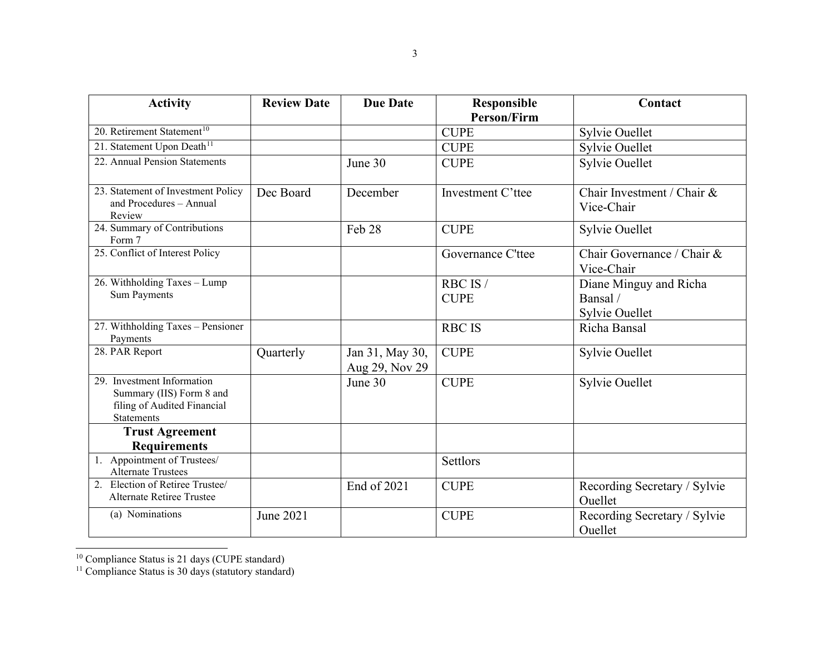<span id="page-31-1"></span><span id="page-31-0"></span>

| <b>Activity</b>                                                                                            | <b>Review Date</b> | <b>Due Date</b>                   | Responsible        | Contact                                  |
|------------------------------------------------------------------------------------------------------------|--------------------|-----------------------------------|--------------------|------------------------------------------|
|                                                                                                            |                    |                                   | <b>Person/Firm</b> |                                          |
| 20. Retirement Statement <sup>10</sup>                                                                     |                    |                                   | <b>CUPE</b>        | Sylvie Ouellet                           |
| 21. Statement Upon Death <sup>11</sup>                                                                     |                    |                                   | <b>CUPE</b>        | <b>Sylvie Ouellet</b>                    |
| 22. Annual Pension Statements                                                                              |                    | June 30                           | <b>CUPE</b>        | <b>Sylvie Ouellet</b>                    |
| 23. Statement of Investment Policy<br>and Procedures - Annual<br>Review                                    | Dec Board          | December                          | Investment C'ttee  | Chair Investment / Chair &<br>Vice-Chair |
| 24. Summary of Contributions<br>Form 7                                                                     |                    | Feb 28                            | <b>CUPE</b>        | <b>Sylvie Ouellet</b>                    |
| 25. Conflict of Interest Policy                                                                            |                    |                                   | Governance C'ttee  | Chair Governance / Chair &<br>Vice-Chair |
| 26. Withholding Taxes - Lump                                                                               |                    |                                   | RBC IS/            | Diane Minguy and Richa                   |
| <b>Sum Payments</b>                                                                                        |                    |                                   | <b>CUPE</b>        | Bansal/                                  |
|                                                                                                            |                    |                                   |                    | Sylvie Ouellet                           |
| 27. Withholding Taxes - Pensioner<br>Payments                                                              |                    |                                   | <b>RBC IS</b>      | Richa Bansal                             |
| 28. PAR Report                                                                                             | Quarterly          | Jan 31, May 30,<br>Aug 29, Nov 29 | <b>CUPE</b>        | Sylvie Ouellet                           |
| 29. Investment Information<br>Summary (IIS) Form 8 and<br>filing of Audited Financial<br><b>Statements</b> |                    | June 30                           | <b>CUPE</b>        | Sylvie Ouellet                           |
| <b>Trust Agreement</b>                                                                                     |                    |                                   |                    |                                          |
| <b>Requirements</b>                                                                                        |                    |                                   |                    |                                          |
| 1. Appointment of Trustees/<br><b>Alternate Trustees</b>                                                   |                    |                                   | Settlors           |                                          |
| 2. Election of Retiree Trustee/<br><b>Alternate Retiree Trustee</b>                                        |                    | End of 2021                       | <b>CUPE</b>        | Recording Secretary / Sylvie<br>Ouellet  |
| (a) Nominations                                                                                            | <b>June 2021</b>   |                                   | <b>CUPE</b>        | Recording Secretary / Sylvie<br>Ouellet  |

<sup>&</sup>lt;sup>10</sup> Compliance Status is 21 days (CUPE standard)

<sup>&</sup>lt;sup>11</sup> Compliance Status is 30 days (statutory standard)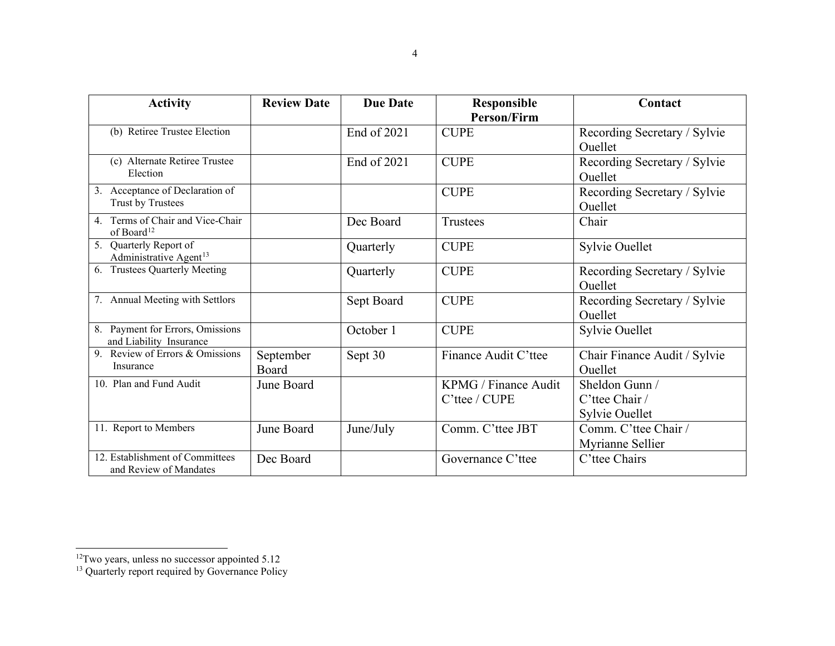<span id="page-32-1"></span><span id="page-32-0"></span>

| <b>Activity</b>                                              | <b>Review Date</b> | <b>Due Date</b> | <b>Responsible</b><br><b>Person/Firm</b> | Contact                                            |
|--------------------------------------------------------------|--------------------|-----------------|------------------------------------------|----------------------------------------------------|
| (b) Retiree Trustee Election                                 |                    | End of 2021     | <b>CUPE</b>                              | Recording Secretary / Sylvie<br>Ouellet            |
| (c) Alternate Retiree Trustee<br>Election                    |                    | End of 2021     | <b>CUPE</b>                              | Recording Secretary / Sylvie<br>Ouellet            |
| 3. Acceptance of Declaration of<br>Trust by Trustees         |                    |                 | <b>CUPE</b>                              | Recording Secretary / Sylvie<br>Ouellet            |
| 4. Terms of Chair and Vice-Chair<br>of Board <sup>12</sup>   |                    | Dec Board       | Trustees                                 | Chair                                              |
| 5. Quarterly Report of<br>Administrative Agent <sup>13</sup> |                    | Quarterly       | <b>CUPE</b>                              | <b>Sylvie Ouellet</b>                              |
| <b>Trustees Quarterly Meeting</b><br>6.                      |                    | Quarterly       | <b>CUPE</b>                              | Recording Secretary / Sylvie<br>Ouellet            |
| 7. Annual Meeting with Settlors                              |                    | Sept Board      | <b>CUPE</b>                              | Recording Secretary / Sylvie<br>Ouellet            |
| 8. Payment for Errors, Omissions<br>and Liability Insurance  |                    | October 1       | <b>CUPE</b>                              | Sylvie Ouellet                                     |
| 9. Review of Errors $\overline{\&$ Omissions<br>Insurance    | September<br>Board | Sept 30         | Finance Audit C'ttee                     | Chair Finance Audit / Sylvie<br>Ouellet            |
| 10. Plan and Fund Audit                                      | June Board         |                 | KPMG / Finance Audit<br>C'ttee / CUPE    | Sheldon Gunn /<br>C'ttee Chair /<br>Sylvie Ouellet |
| 11. Report to Members                                        | June Board         | June/July       | Comm. C'ttee JBT                         | Comm. C'ttee Chair /<br>Myrianne Sellier           |
| 12. Establishment of Committees<br>and Review of Mandates    | Dec Board          |                 | Governance C'ttee                        | C'ttee Chairs                                      |

 $12$ Two years, unless no successor appointed 5.12

<sup>&</sup>lt;sup>13</sup> Quarterly report required by Governance Policy